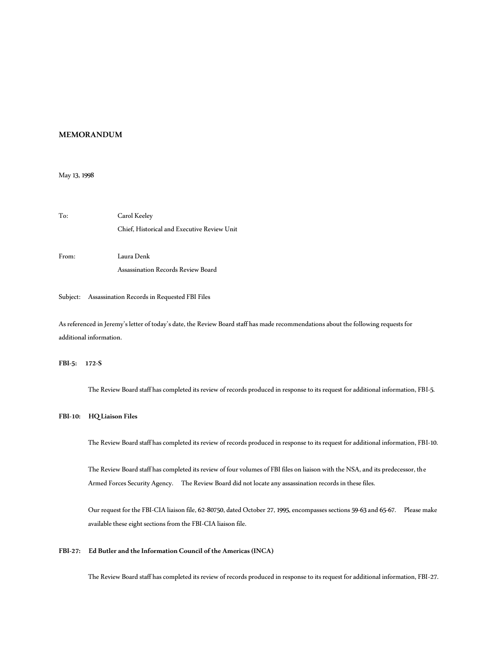# **MEMORANDUM**

May 13, 1998

To: Carol Keeley Chief, Historical and Executive Review Unit From: Laura Denk Assassination Records Review Board

## Subject: Assassination Records in Requested FBI Files

As referenced in Jeremy's letter of today's date, the Review Board staff has made recommendations about the following requests for additional information.

# **FBI-5: 172-S**

The Review Board staff has completed its review of records produced in response to its request for additional information, FBI-5.

#### **FBI-10: HQ Liaison Files**

The Review Board staff has completed its review of records produced in response to its request for additional information, FBI-10.

The Review Board staff has completed its review of four volumes of FBI files on liaison with the NSA, and its predecessor, the Armed Forces Security Agency. The Review Board did not locate any assassination records in these files.

Our request for the FBI-CIA liaison file, 62-80750, dated October 27, 1995, encompasses sections 59-63 and 65-67. Please make available these eight sections from the FBI-CIA liaison file.

### **FBI-27: Ed Butler and the Information Council of the Americas (INCA)**

The Review Board staff has completed its review of records produced in response to its request for additional information, FBI-27.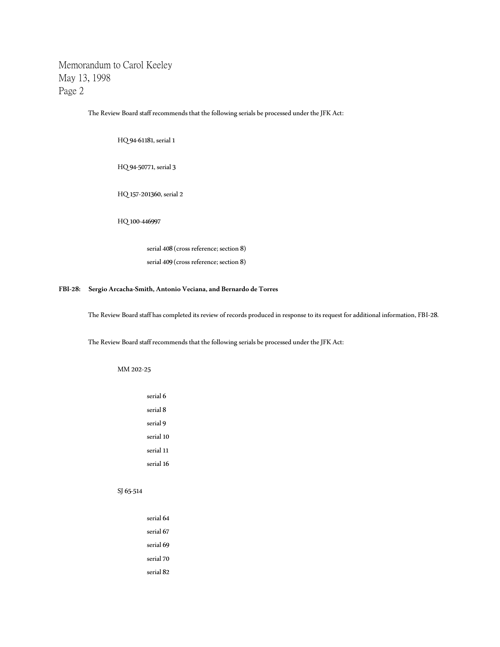The Review Board staff recommends that the following serials be processed under the JFK Act:

HQ 94-61181, serial 1

HQ 94-50771, serial 3

HQ 157-201360, serial 2

HQ 100-446997

serial 408 (cross reference; section 8) serial 409 (cross reference; section 8)

# **FBI-28: Sergio Arcacha-Smith, Antonio Veciana, and Bernardo de Torres**

The Review Board staff has completed its review of records produced in response to its request for additional information, FBI-28.

The Review Board staff recommends that the following serials be processed under the JFK Act:

MM 202-25

| serial 6            |
|---------------------|
| serial <sub>8</sub> |
| serial 9            |
| serial 10           |
| serial 11           |
| serial 16           |
|                     |

## SJ 65-514

| serial 64 |
|-----------|
| serial 67 |
| serial 69 |
| serial 70 |
| serial 82 |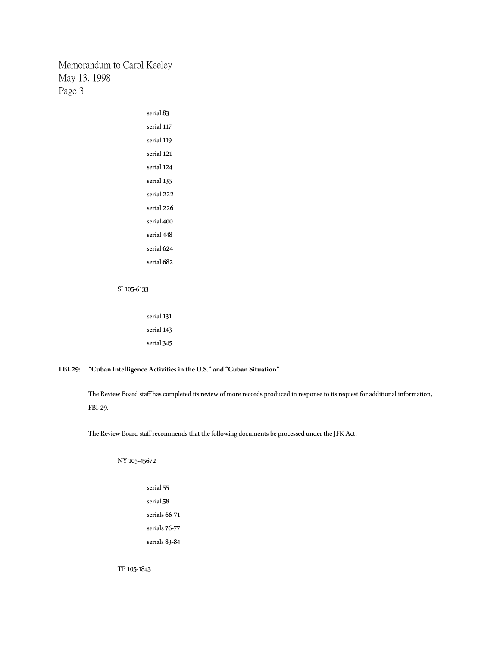| serial 117<br>serial 119<br>serial 121<br>serial 124<br>serial 135<br>serial 222<br>serial 226<br>serial 400<br>serial 448<br>serial 624<br>serial 682 | serial 83 |
|--------------------------------------------------------------------------------------------------------------------------------------------------------|-----------|
|                                                                                                                                                        |           |
|                                                                                                                                                        |           |
|                                                                                                                                                        |           |
|                                                                                                                                                        |           |
|                                                                                                                                                        |           |
|                                                                                                                                                        |           |
|                                                                                                                                                        |           |
|                                                                                                                                                        |           |
|                                                                                                                                                        |           |
|                                                                                                                                                        |           |
|                                                                                                                                                        |           |

#### SJ 105-6133

serial 131 serial 143 serial 345

# **FBI-29: "Cuban Intelligence Activities in the U.S." and "Cuban Situation"**

The Review Board staff has completed its review of more records produced in response to its request for additional information, FBI-29.

The Review Board staff recommends that the following documents be processed under the JFK Act:

NY 105-45672

serial 55 serial 58 serials 66-71 serials 76-77 serials 83-84

TP 105-1843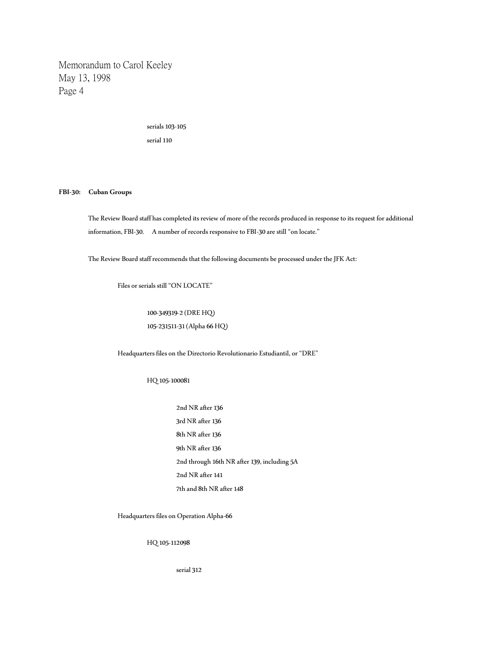> serials 103-105 serial 110

#### **FBI-30: Cuban Groups**

The Review Board staff has completed its review of more of the records produced in response to its request for additional information, FBI-30. A number of records responsive to FBI-30 are still "on locate."

The Review Board staff recommends that the following documents be processed under the JFK Act:

Files or serials still "ON LOCATE"

100-349319-2 (DRE HQ) 105-231511-31 (Alpha 66 HQ)

Headquarters files on the Directorio Revolutionario Estudiantil, or "DRE"

HQ 105-100081

2nd NR after 136 3rd NR after 136 8th NR after 136 9th NR after 136 2nd through 16th NR after 139, including 5A 2nd NR after 141 7th and 8th NR after 148

Headquarters files on Operation Alpha-66

HQ 105-112098

serial 312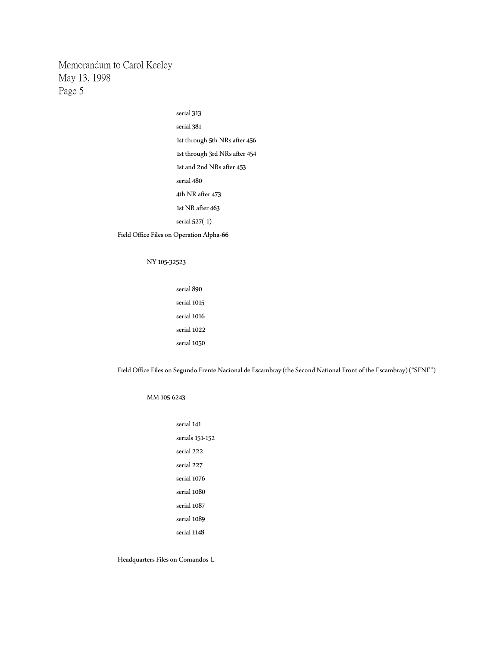> serial 313 serial 381 1st through 5th NRs after 456 1st through 3rd NRs after 454 1st and 2nd NRs after 453 serial 480 4th NR after 473 1st NR after 463 serial 527(-1) Field Office Files on Operation Alpha-66

# NY 105-32523

serial 890 serial 1015 serial 1016 serial 1022 serial 1050

Field Office Files on Segundo Frente Nacional de Escambray (the Second National Front of the Escambray) ("SFNE")

## MM 105-6243

serial 141 serials 151-152 serial 222 serial 227 serial 1076 serial 1080 serial 1087 serial 1089 serial 1148

Headquarters Files on Comandos-L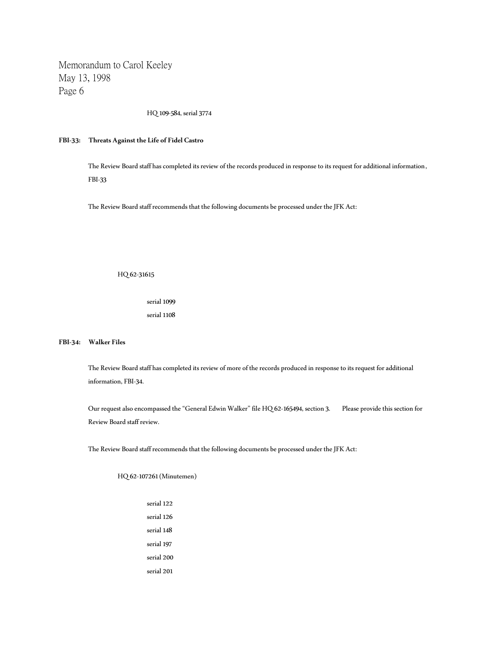HQ 109-584, serial 3774

## **FBI-33: Threats Against the Life of Fidel Castro**

The Review Board staff has completed its review of the records produced in response to its request for additional information, FBI-33

The Review Board staff recommends that the following documents be processed under the JFK Act:

HQ 62-31615

serial 1099 serial 1108

**FBI-34: Walker Files**

The Review Board staff has completed its review of more of the records produced in response to its request for additional information, FBI-34.

Our request also encompassed the "General Edwin Walker" file HQ 62-165494, section 3. Please provide this section for Review Board staff review.

The Review Board staff recommends that the following documents be processed under the JFK Act:

HQ 62-107261 (Minutemen)

serial 122 serial 126 serial 148 serial 197 serial 200 serial 201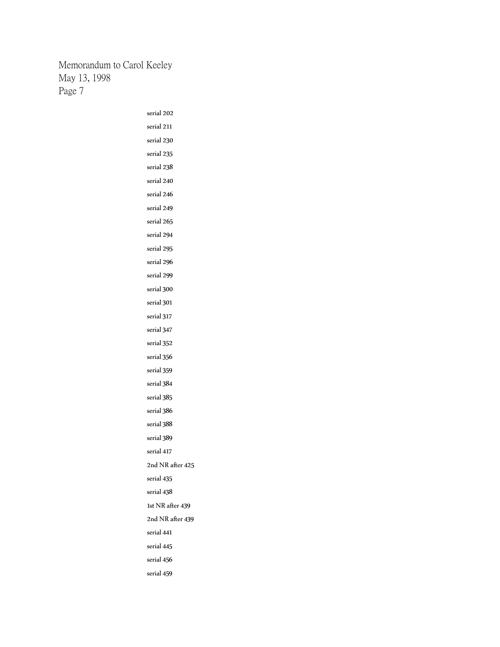| serial 202       |
|------------------|
| serial 211       |
| serial 230       |
| serial 235       |
| serial 238       |
| serial 240       |
| serial 246       |
| serial 249       |
| serial 265       |
| serial 294       |
| serial 295       |
| serial 296       |
| serial 299       |
| serial 300       |
| serial 301       |
| serial 317       |
| serial 347       |
| serial 352       |
| serial 356       |
| serial 359       |
| serial 384       |
| serial 385       |
| serial 386       |
| serial 388       |
| serial 389       |
| serial 417       |
| 2nd NR after 425 |
| serial 435       |
| serial 438       |
| 1st NR after 439 |
| 2nd NR after 439 |
| serial 441       |
| serial 445       |
| serial 456       |
| serial 459       |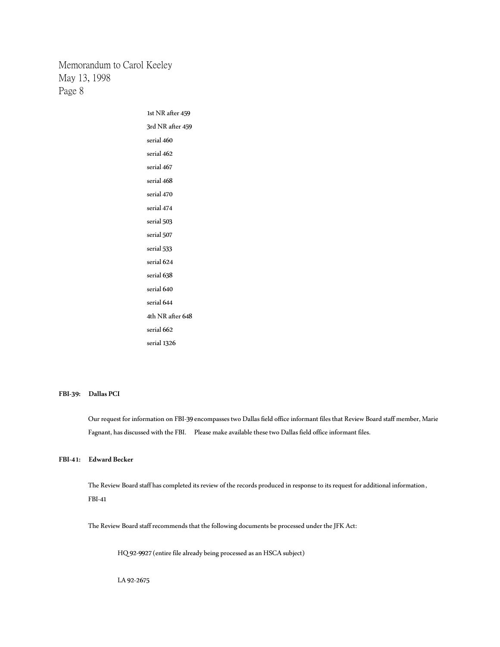> 1st NR after 459 3rd NR after 459 serial 460 serial 462 serial 467 serial 468 serial 470 serial 474 serial 503 serial 507 serial 533 serial 624 serial 638 serial 640 serial 644 4th NR after 648 serial 662 serial 1326

#### **FBI-39: Dallas PCI**

Our request for information on FBI-39 encompasses two Dallas field office informant files that Review Board staff member, Marie Fagnant, has discussed with the FBI. Please make available these two Dallas field office informant files.

### **FBI-41: Edward Becker**

The Review Board staff has completed its review of the records produced in response to its request for additional information, FBI-41

The Review Board staff recommends that the following documents be processed under the JFK Act:

HQ 92-9927 (entire file already being processed as an HSCA subject)

LA 92-2675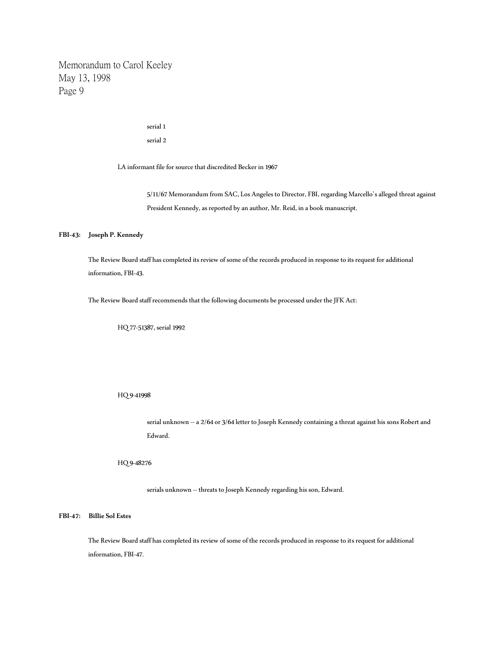## serial 1

serial 2

LA informant file for source that discredited Becker in 1967

5/11/67 Memorandum from SAC, Los Angeles to Director, FBI, regarding Marcello's alleged threat against President Kennedy, as reported by an author, Mr. Reid, in a book manuscript.

## **FBI-43: Joseph P. Kennedy**

The Review Board staff has completed its review of some of the records produced in response to its request for additional information, FBI-43.

The Review Board staff recommends that the following documents be processed under the JFK Act:

HQ 77-51387, serial 1992

HQ 9-41998

serial unknown -- a 2/64 or 3/64 letter to Joseph Kennedy containing a threat against his sons Robert and Edward.

HQ 9-48276

serials unknown -- threats to Joseph Kennedy regarding his son, Edward.

**FBI-47: Billie Sol Estes**

The Review Board staff has completed its review of some of the records produced in response to its request for additional information, FBI-47.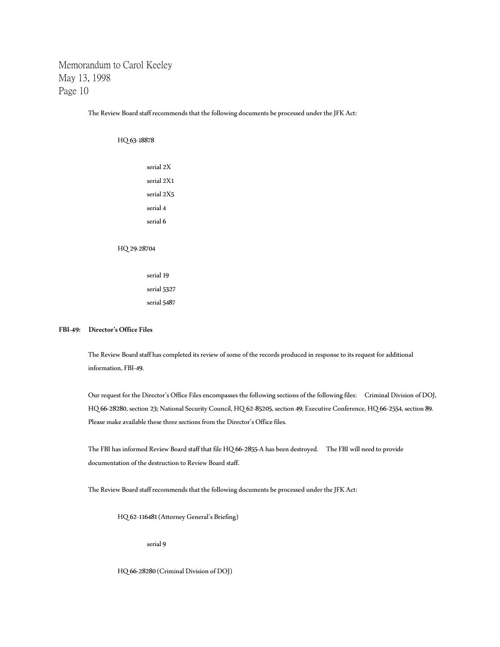The Review Board staff recommends that the following documents be processed under the JFK Act:

HQ 63-18878

serial 2X serial 2X1 serial 2X5 serial 4 serial 6 HQ 29-28704

> serial 19 serial 5327 serial 5487

#### **FBI-49: Director's Office Files**

The Review Board staff has completed its review of some of the records produced in response to its request for additional information, FBI-49.

Our request for the Director's Office Files encompasses the following sections of the following files: Criminal Division of DOJ, HQ 66-28280, section 23; National Security Council, HQ 62-85205, section 49; Executive Conference, HQ 66-2554, section 89. Please make available these three sections from the Director's Office files.

The FBI has informed Review Board staff that file HQ 66-2855-A has been destroyed. The FBI will need to provide documentation of the destruction to Review Board staff.

The Review Board staff recommends that the following documents be processed under the JFK Act:

HQ 62-116481 (Attorney General's Briefing)

serial 9

HQ 66-28280 (Criminal Division of DOJ)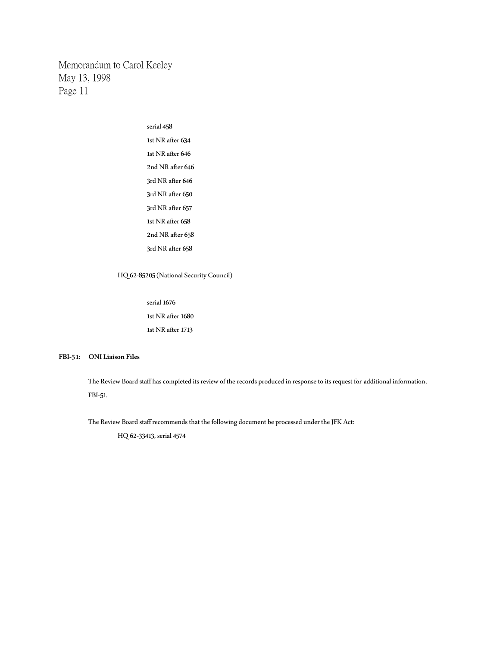> serial 458 1st NR after 634 1st NR after 646 2nd NR after 646 3rd NR after 646 3rd NR after 650 3rd NR after 657 1st NR after 658 2nd NR after 658 3rd NR after 658

HQ 62-85205 (National Security Council)

serial 1676 1st NR after 1680 1st NR after 1713

# **FBI-51: ONI Liaison Files**

The Review Board staff has completed its review of the records produced in response to its request for additional information, FBI-51.

The Review Board staff recommends that the following document be processed under the JFK Act:

HQ 62-33413, serial 4574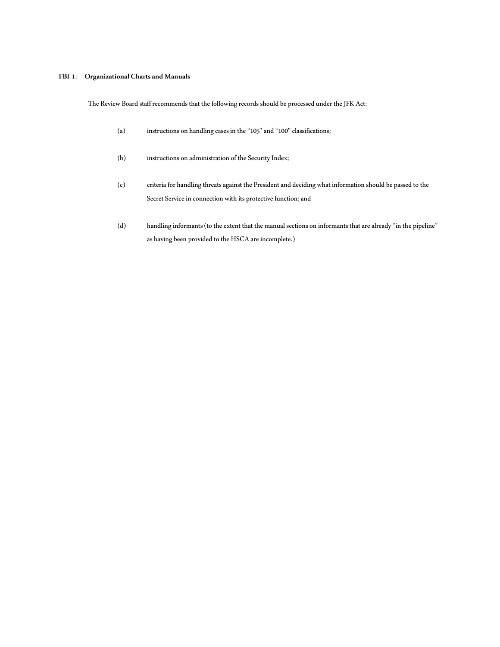## **FBI-1**: **Organizational Charts and Manuals**

The Review Board staff recommends that the following records should be processed under the JFK Act:

- (a) instructions on handling cases in the "105" and "100" classifications;
- (b) instructions on administration of the Security Index;
- (c) criteria for handling threats against the President and deciding what information should be passed to the Secret Service in connection with its protective function; and
- (d) handling informants (to the extent that the manual sections on informants that are already "in the pipeline" as having been provided to the HSCA are incomplete.)